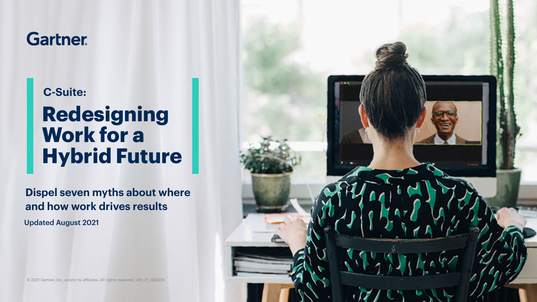## **Gartner**

### **C-Suite:**

## **Redesigning Work for a Hybrid Future**

**Dispel seven myths about where and how work drives results**

Updated August 2021

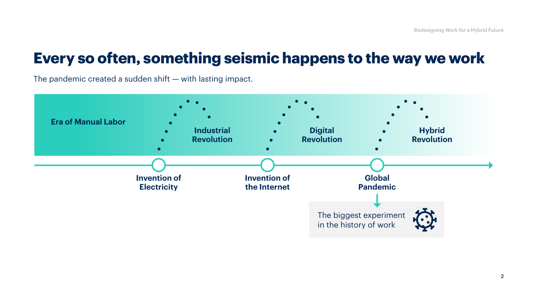### **Every so often, something seismic happens to the way we work**

The pandemic created a sudden shift — with lasting impact.

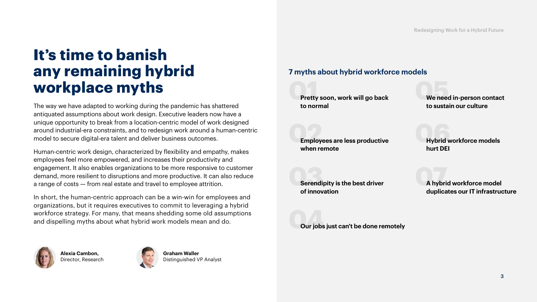## **It's time to banish any remaining hybrid workplace myths**

The way we have adapted to working during the pandemic has shattered antiquated assumptions about work design. Executive leaders now have a unique opportunity to break from a location-centric model of work designed around industrial-era constraints, and to redesign work around a human-centric model to secure digital-era talent and deliver business outcomes.

Human-centric work design, characterized by flexibility and empathy, makes employees feel more empowered, and increases their productivity and engagement. It also enables organizations to be more responsive to customer demand, more resilient to disruptions and more productive. It can also reduce a range of costs — from real estate and travel to employee attrition.

In short, the human-centric approach can be a win-win for employees and organizations, but it requires executives to commit to leveraging a hybrid workforce strategy. For many, that means shedding some old assumptions and dispelling myths about what hybrid work models mean and do.







**Graham Waller** Distinguished VP Analyst

### **7 myths about hybrid workforce models**

**01 Pretty soon, work will go back to normal**

**05 We need in-person contact to sustain our culture**

**02 Employees are less productive when remote**

**06 Hybrid workforce models hurt DEI** 

**03 Serendipity is the best driver of innovation** 

**07 A hybrid workforce model duplicates our IT infrastructure**

**04 Our jobs just can't be done remotely**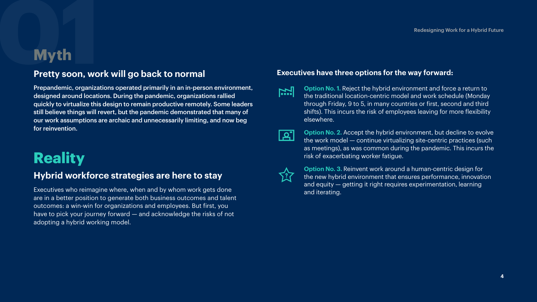# Redesigning Work for a Hybrid Future<br> **1914**<br> **1924**<br>
Pretty soon, work will go back to normal Executives have three options for the way forward: **Pretty soon, work will go back to normal**

Prepandemic, organizations operated primarily in an in-person environment, designed around locations. During the pandemic, organizations rallied quickly to virtualize this design to remain productive remotely. Some leaders still believe things will revert, but the pandemic demonstrated that many of our work assumptions are archaic and unnecessarily limiting, and now beg for reinvention.

## **Reality**

### **Hybrid workforce strategies are here to stay**

Executives who reimagine where, when and by whom work gets done are in a better position to generate both business outcomes and talent outcomes: a win-win for organizations and employees. But first, you have to pick your journey forward – and acknowledge the risks of not adopting a hybrid working model.

### **Executives have three options for the way forward:**

- **Option No. 1.** Reject the hybrid environment and force a return to <u>[.r.]</u> the traditional location-centric model and work schedule (Monday through Friday, 9 to 5, in many countries or first, second and third shifts). This incurs the risk of employees leaving for more flexibility elsewhere.
- <u>| م ا</u>

**Option No. 2.** Accept the hybrid environment, but decline to evolve the work model — continue virtualizing site-centric practices (such as meetings), as was common during the pandemic. This incurs the risk of exacerbating worker fatigue.



**Option No. 3.** Reinvent work around a human-centric design for the new hybrid environment that ensures performance, innovation and equity — getting it right requires experimentation, learning and iterating.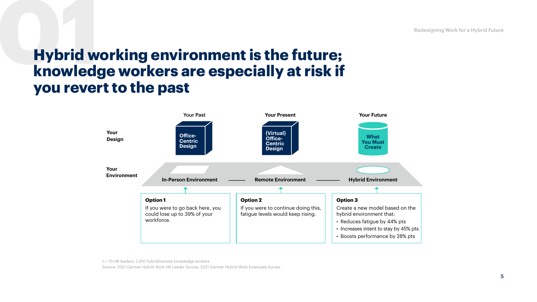# **01 knowledge workers are especially at risk if Hybrid working environment is the future; you revert to the past**



n = 75 HR leaders; 2,410 hybrid/remote knowledge workers

Source: 2021 Gartner Hybrid Work HR Leader Survey; 2021 Gartner Hybrid Work Employee Survey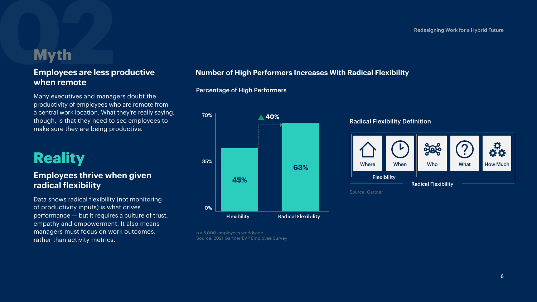## **1222**<br> **1222**<br>
1222<br>
1222<br>
1222<br>
1222<br>
1222<br>
1222<br>
1222<br>
1222<br>
1222<br>
1222<br>
1222<br>
1222<br>
1222<br>
1222<br>
1222<br>
1222<br>
122<br>
122<br>
122<br>
122<br>
122<br>
122<br>
122<br>
122<br>
122<br>
122<br>
122<br>
122<br>
122<br>
122<br> **Employees are less productive when remote**

Many executives and managers doubt the productivity of employees who are remote from a central work location. What they're really saying, though, is that they need to see employees to make sure they are being productive.

## **Reality**

### **Employees thrive when given radical flexibility**

Data shows radical flexibility (not monitoring of productivity inputs) is what drives performance — but it requires a culture of trust, empathy and empowerment. It also means managers must focus on work outcomes, rather than activity metrics.

### **Number of High Performers Increases With Radical Flexibility**

## **40%** Flexibility Radical Flexibility 70% 35% 0% **45% 63%**

n = 5,000 employees worldwide Source: 2021 Gartner EVP Employee Survey

Percentage of High Performers



Source: Gartner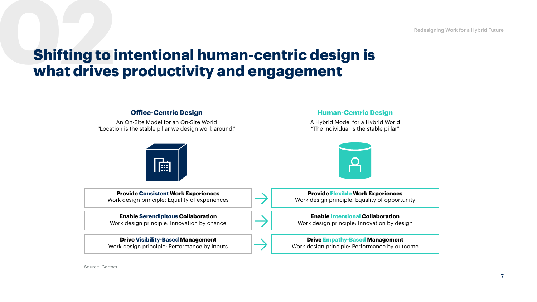## **Shifting to intentional human-centric design is what drives productivity and engagement**



Source: Gartner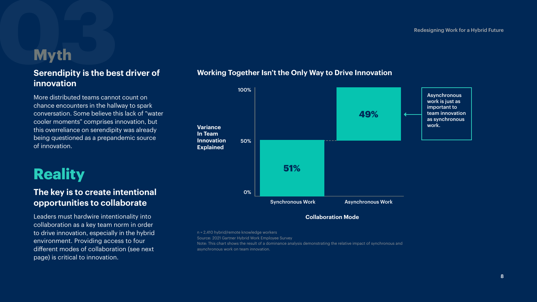# **13 Myth**<br> **13 Myth**<br> **13 Serendipity is the bes Serendipity is the best driver of innovation**

More distributed teams cannot count on chance encounters in the hallway to spark conversation. Some believe this lack of "water cooler moments" comprises innovation, but this overreliance on serendipity was already being questioned as a prepandemic source of innovation.

## **Reality**

### **The key is to create intentional opportunities to collaborate**

Leaders must hardwire intentionality into collaboration as a key team norm in order to drive innovation, especially in the hybrid environment. Providing access to four different modes of collaboration (see next page) is critical to innovation.



### **Working Together Isn't the Only Way to Drive Innovation**

### **Collaboration Mode**

n = 2,410 hybrid/remote knowledge workers

Source: 2021 Gartner Hybrid Work Employee Survey

Note: This chart shows the result of a dominance analysis demonstrating the relative impact of synchronous and

asynchronous work on team innovation.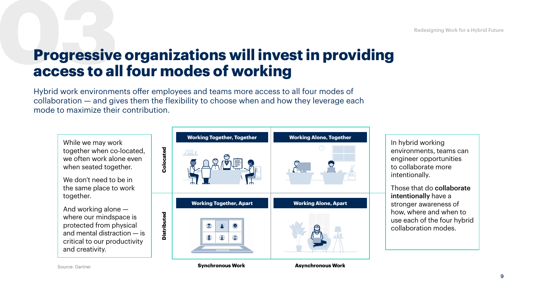## **Progressive organizations will invest in providing access to all four modes of working**

Hybrid work environments offer employees and teams more access to all four modes of collaboration — and gives them the flexibility to choose when and how they leverage each mode to maximize their contribution.



Source: Gartner

**Synchronous Work Asynchronous Work**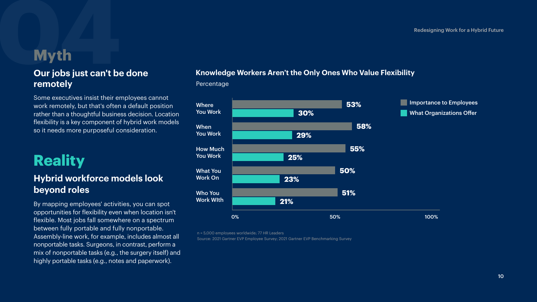### **Our jobs just can't be done remotely**

Some executives insist their employees cannot work remotely, but that's often a default position rather than a thoughtful business decision. Location flexibility is a key component of hybrid work models so it needs more purposeful consideration.

## **Reality**

### **Hybrid workforce models look beyond roles**

By mapping employees' activities, you can spot opportunities for flexibility even when location isn't flexible. Most jobs fall somewhere on a spectrum between fully portable and fully nonportable. Assembly-line work, for example, includes almost all nonportable tasks. Surgeons, in contrast, perform a mix of nonportable tasks (e.g., the surgery itself) and highly portable tasks (e.g., notes and paperwork).

# Redesigning Work for a Hybrid Future<br> **OUT jobs just can't be done**<br> **CUT jobs just can't be done Knowledge Workers Aren't the Only Ones Who Value Flexibility**





n = 5,000 employees worldwide; 77 HR Leaders

Source: 2021 Gartner EVP Employee Survey; 2021 Gartner EVP Benchmarking Survey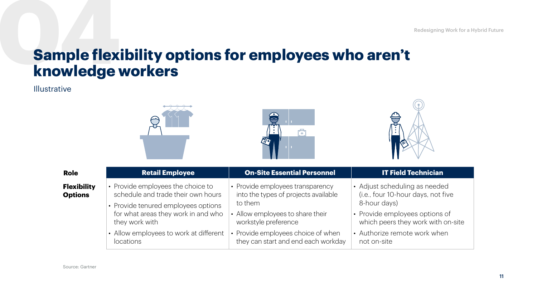## **Sample flexibility options for employees who aren't knowledge workers**

### Illustrative

| <b>Role</b>                          | <b>Retail Employee</b>                                                                                         | <b>On-Site Essential Personnel</b>                                                  | <b>IT Field Technician</b>                                                          |
|--------------------------------------|----------------------------------------------------------------------------------------------------------------|-------------------------------------------------------------------------------------|-------------------------------------------------------------------------------------|
| <b>Flexibility</b><br><b>Options</b> | • Provide employees the choice to<br>schedule and trade their own hours<br>• Provide tenured employees options | • Provide employees transparency<br>into the types of projects available<br>to them | • Adjust scheduling as needed<br>(i.e., four 10-hour days, not five<br>8-hour days) |
|                                      | for what areas they work in and who<br>they work with                                                          | • Allow employees to share their<br>workstyle preference                            | Provide employees options of<br>$\bullet$<br>which peers they work with on-site     |
|                                      | • Allow employees to work at different<br><i>locations</i>                                                     | • Provide employees choice of when<br>they can start and end each workday           | • Authorize remote work when<br>not on-site                                         |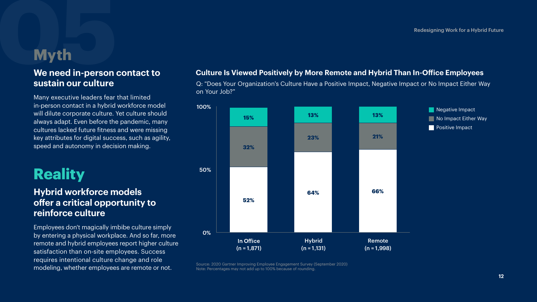# **1959**<br> **1959**<br> **1959**<br> **1959**<br> **1959**<br> **1959**<br> **1959**<br> **1959**<br> **1959**<br> **1959**<br> **1959**<br> **1959 We need in-person contact to sustain our culture**

Many executive leaders fear that limited in-person contact in a hybrid workforce model will dilute corporate culture. Yet culture should always adapt. Even before the pandemic, many cultures lacked future fitness and were missing key attributes for digital success, such as agility, speed and autonomy in decision making.

## **Reality**

### **Hybrid workforce models offer a critical opportunity to reinforce culture**

Employees don't magically imbibe culture simply by entering a physical workplace. And so far, more remote and hybrid employees report higher culture satisfaction than on-site employees. Success requires intentional culture change and role modeling, whether employees are remote or not.

### **Culture Is Viewed Positively by More Remote and Hybrid Than In-Office Employees**

Q: "Does Your Organization's Culture Have a Positive Impact, Negative Impact or No Impact Either Way on Your Job?"



Source: 2020 Gartner Improving Employee Engagement Survey (September 2020) Note: Percentages may not add up to 100% because of rounding.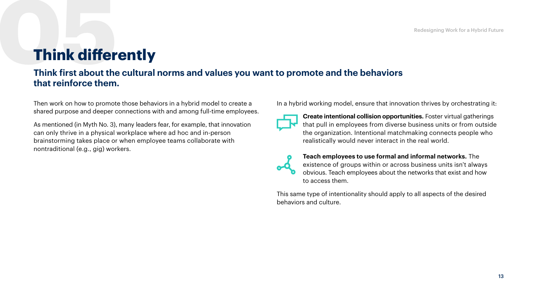## **05Think differently**

### **Think first about the cultural norms and values you want to promote and the behaviors that reinforce them.**

Then work on how to promote those behaviors in a hybrid model to create a shared purpose and deeper connections with and among full-time employees.

As mentioned (in Myth No. 3), many leaders fear, for example, that innovation can only thrive in a physical workplace where ad hoc and in-person brainstorming takes place or when employee teams collaborate with nontraditional (e.g., gig) workers.

In a hybrid working model, ensure that innovation thrives by orchestrating it:



**Create intentional collision opportunities.** Foster virtual gatherings that pull in employees from diverse business units or from outside the organization. Intentional matchmaking connects people who realistically would never interact in the real world.



**Teach employees to use formal and informal networks.** The existence of groups within or across business units isn't always obvious. Teach employees about the networks that exist and how to access them.

This same type of intentionality should apply to all aspects of the desired behaviors and culture.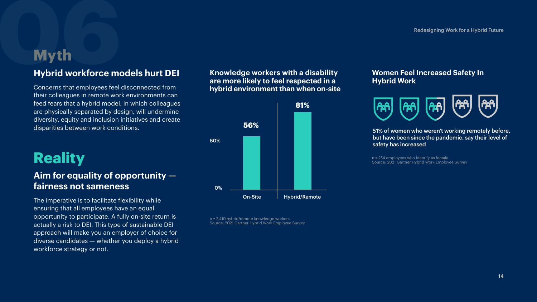# Redesigning Work for a Hybrid Future<br> **1666-**<br> **1666-**<br> **1666-**<br> **1666-**<br> **1666-**<br> **1666-**<br> **1666-**<br> **1666-**<br> **1666-**<br> **1666-**<br> **1666-**<br> **1666-**<br> **1666-**<br> **1666-**<br> **1666-**<br> **1666-**<br> **1666-**<br> **1666-**<br> **1666-**<br> **1666-**<br> **166 Hybrid workforce models hurt DEI**

Concerns that employees feel disconnected from their colleagues in remote work environments can feed fears that a hybrid model, in which colleagues are physically separated by design, will undermine diversity, equity and inclusion initiatives and create disparities between work conditions.

## **Reality**

### **Aim for equality of opportunity fairness not sameness**

The imperative is to facilitate flexibility while ensuring that all employees have an equal opportunity to participate. A fully on-site return is actually a risk to DEI. This type of sustainable DEI approach will make you an employer of choice for diverse candidates — whether you deploy a hybrid workforce strategy or not.

**Knowledge workers with a disability are more likely to feel respected in a hybrid environment than when on-site**



n = 2,410 hybrid/remote knowledge workers Source: 2021 Gartner Hybrid Work Employee Survey

### **Women Feel Increased Safety In Hybrid Work**



51% of women who weren't working remotely before, but have been since the pandemic, say their level of safety has increased

n = 254 employees who identify as female Source: 2021 Gartner Hybrid Work Employee Survey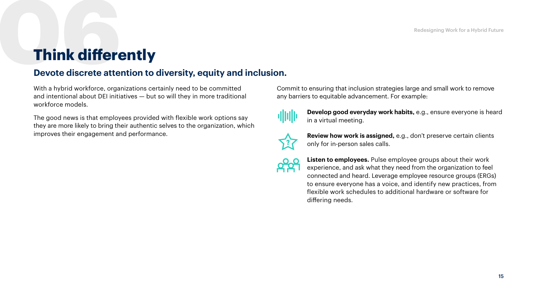## **Think differently 06**

### **Devote discrete attention to diversity, equity and inclusion.**

With a hybrid workforce, organizations certainly need to be committed and intentional about DEI initiatives — but so will they in more traditional workforce models.

The good news is that employees provided with flexible work options say they are more likely to bring their authentic selves to the organization, which improves their engagement and performance.

Commit to ensuring that inclusion strategies large and small work to remove any barriers to equitable advancement. For example:



**Develop good everyday work habits,** e.g., ensure everyone is heard in a virtual meeting.



**Review how work is assigned,** e.g., don't preserve certain clients only for in-person sales calls.

**Listen to employees.** Pulse employee groups about their work experience, and ask what they need from the organization to feel connected and heard. Leverage employee resource groups (ERGs) to ensure everyone has a voice, and identify new practices, from flexible work schedules to additional hardware or software for differing needs.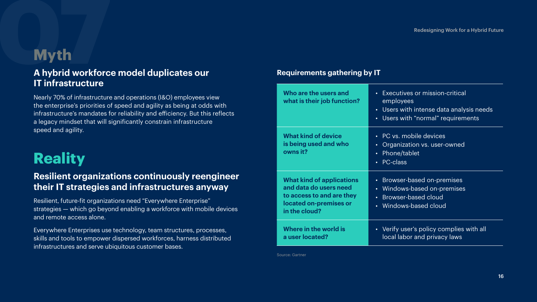# **1979**<br> **1979**<br>
1979<br>
1979<br>
1979<br>
1979<br>
1979<br>
1979<br>
1979<br>
1979<br>
1979<br>
1979<br>
1979<br>
1979<br>
1979<br>
1979<br>
1979<br>
1979<br>
1979<br>
1979<br>
1979 **A hybrid workforce model duplicates our IT infrastructure**

Nearly 70% of infrastructure and operations (I&O) employees view the enterprise's priorities of speed and agility as being at odds with infrastructure's mandates for reliability and efficiency. But this reflects a legacy mindset that will significantly constrain infrastructure speed and agility.

## **Reality**

### **Resilient organizations continuously reengineer their IT strategies and infrastructures anyway**

Resilient, future-fit organizations need "Everywhere Enterprise" strategies — which go beyond enabling a workforce with mobile devices and remote access alone.

Everywhere Enterprises use technology, team structures, processes, skills and tools to empower dispersed workforces, harness distributed infrastructures and serve ubiquitous customer bases.

### **Requirements gathering by IT**

| Who are the users and<br>what is their job function?                                                                               | Executives or mission-critical<br>$\bullet$ .<br>employees<br>• Users with intense data analysis needs<br>• Users with "normal" requirements                 |
|------------------------------------------------------------------------------------------------------------------------------------|--------------------------------------------------------------------------------------------------------------------------------------------------------------|
| <b>What kind of device</b><br>is being used and who<br>owns it?                                                                    | • PC vs. mobile devices<br>Organization vs. user-owned<br>$\bullet$ .<br>Phone/tablet<br>$\bullet$<br>PC-class<br>$\bullet$ .                                |
| <b>What kind of applications</b><br>and data do users need<br>to access to and are they<br>located on-premises or<br>in the cloud? | Browser-based on-premises<br>$\bullet$ .<br>Windows-based on-premises<br>$\bullet$ .<br>Browser-based cloud<br>$\bullet$<br>Windows-based cloud<br>$\bullet$ |
| Where in the world is<br>a user located?                                                                                           | • Verify user's policy complies with all<br>local labor and privacy laws                                                                                     |

Source: Gartner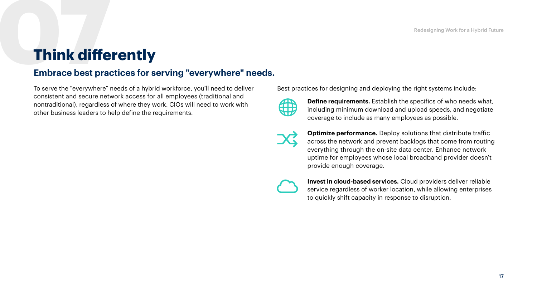## **Think differently 07**

### **Embrace best practices for serving "everywhere" needs.**

To serve the "everywhere" needs of a hybrid workforce, you'll need to deliver consistent and secure network access for all employees (traditional and nontraditional), regardless of where they work. CIOs will need to work with other business leaders to help define the requirements.

Best practices for designing and deploying the right systems include:



**Define requirements.** Establish the specifics of who needs what, including minimum download and upload speeds, and negotiate coverage to include as many employees as possible.



**Optimize performance.** Deploy solutions that distribute traffic across the network and prevent backlogs that come from routing everything through the on-site data center. Enhance network uptime for employees whose local broadband provider doesn't provide enough coverage.

**Invest in cloud-based services.** Cloud providers deliver reliable service regardless of worker location, while allowing enterprises to quickly shift capacity in response to disruption.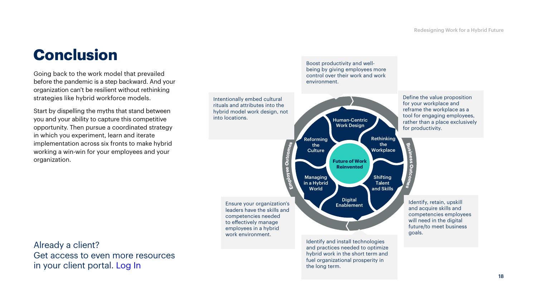## **Conclusion**

Going back to the work model that prevailed before the pandemic is a step backward. And your organization can't be resilient without rethinking strategies like hybrid workforce models.

Start by dispelling the myths that stand between you and your ability to capture this competitive opportunity. Then pursue a coordinated strategy in which you experiment, learn and iterate implementation across six fronts to make hybrid working a win-win for your employees and your organization.

Already a client? Get access to even more resources in your client portal. [Log In](https://www.gartner.com/en/insights/future-of-work)